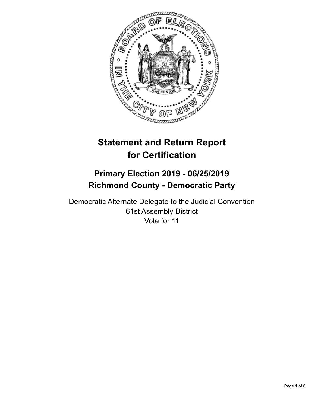

# **Statement and Return Report for Certification**

## **Primary Election 2019 - 06/25/2019 Richmond County - Democratic Party**

Democratic Alternate Delegate to the Judicial Convention 61st Assembly District Vote for 11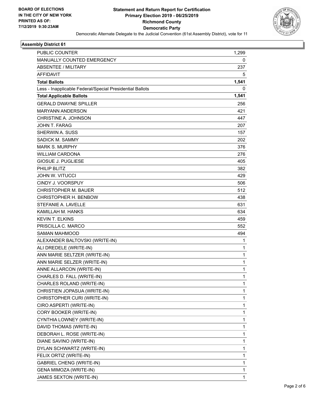

#### **Assembly District 61**

| PUBLIC COUNTER                                           | 1,299        |
|----------------------------------------------------------|--------------|
| <b>MANUALLY COUNTED EMERGENCY</b>                        | 0            |
| <b>ABSENTEE / MILITARY</b>                               | 237          |
| <b>AFFIDAVIT</b>                                         | 5            |
| <b>Total Ballots</b>                                     | 1,541        |
| Less - Inapplicable Federal/Special Presidential Ballots | 0            |
| <b>Total Applicable Ballots</b>                          | 1,541        |
| <b>GERALD DWAYNE SPILLER</b>                             | 256          |
| <b>MARYANN ANDERSON</b>                                  | 421          |
| CHRISTINE A. JOHNSON                                     | 447          |
| JOHN T. FARAG                                            | 207          |
| <b>SHERWIN A. SUSS</b>                                   | 157          |
| SADICK M. SAMMY                                          | 202          |
| <b>MARK S. MURPHY</b>                                    | 376          |
| <b>WILLIAM CARDONA</b>                                   | 276          |
| GIOSUE J. PUGLIESE                                       | 405          |
| PHILIP BLITZ                                             | 382          |
| <b>JOHN W. VITUCCI</b>                                   | 429          |
| CINDY J. VOORSPUY                                        | 506          |
| <b>CHRISTOPHER M. BAUER</b>                              | 512          |
| CHRISTOPHER H. BENBOW                                    | 438          |
| STEFANIE A. LAVELLE                                      | 631          |
| KAMILLAH M. HANKS                                        | 634          |
| <b>KEVIN T. ELKINS</b>                                   | 459          |
| PRISCILLA C. MARCO                                       | 552          |
| <b>SAMAN MAHMOOD</b>                                     | 494          |
| ALEXANDER BALTOVSKI (WRITE-IN)                           | 1            |
| ALI DREDELE (WRITE-IN)                                   | 1            |
| ANN MARIE SELTZER (WRITE-IN)                             | $\mathbf{1}$ |
| ANN MARIE SELZER (WRITE-IN)                              | 1            |
| ANNE ALLARCON (WRITE-IN)                                 | 1            |
| CHARLES D. FALL (WRITE-IN)                               | 1            |
| CHARLES ROLAND (WRITE-IN)                                | 1            |
| CHRISTIEN JOPASUA (WRITE-IN)                             | 1            |
| CHRISTOPHER CURI (WRITE-IN)                              | 1            |
| CIRO ASPERTI (WRITE-IN)                                  | 1            |
| CORY BOOKER (WRITE-IN)                                   | 1            |
| CYNTHIA LOWNEY (WRITE-IN)                                | 1            |
| DAVID THOMAS (WRITE-IN)                                  | 1            |
| DEBORAH L. ROSE (WRITE-IN)                               | 1            |
| DIANE SAVINO (WRITE-IN)                                  | 1            |
| DYLAN SCHWARTZ (WRITE-IN)                                | 1            |
| FELIX ORTIZ (WRITE-IN)                                   | 1            |
| <b>GABRIEL CHENG (WRITE-IN)</b>                          | 1            |
| GENA MIMOZA (WRITE-IN)                                   | 1            |
| JAMES SEXTON (WRITE-IN)                                  | 1            |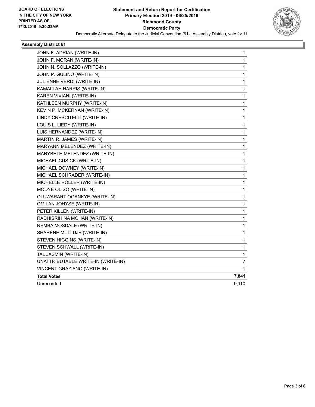

#### **Assembly District 61**

| JOHN F. ADRIAN (WRITE-IN)          | 1            |
|------------------------------------|--------------|
| JOHN F. MORAN (WRITE-IN)           | 1            |
| JOHN N. SOLLAZZO (WRITE-IN)        | $\mathbf 1$  |
| JOHN P. GULINO (WRITE-IN)          | $\mathbf{1}$ |
| JULIENNE VERDI (WRITE-IN)          | $\mathbf{1}$ |
| KAMALLAH HARRIS (WRITE-IN)         | $\mathbf 1$  |
| KAREN VIVIANI (WRITE-IN)           | 1            |
| KATHLEEN MURPHY (WRITE-IN)         | 1            |
| KEVIN P. MCKERNAN (WRITE-IN)       | $\mathbf 1$  |
| LINDY CRESCITELLI (WRITE-IN)       | $\mathbf 1$  |
| LOUIS L. LIEDY (WRITE-IN)          | $\mathbf 1$  |
| LUIS HERNANDEZ (WRITE-IN)          | $\mathbf{1}$ |
| MARTIN R. JAMES (WRITE-IN)         | $\mathbf 1$  |
| MARYANN MELENDEZ (WRITE-IN)        | $\mathbf 1$  |
| MARYBETH MELENDEZ (WRITE-IN)       | $\mathbf{1}$ |
| MICHAEL CUSICK (WRITE-IN)          | $\mathbf{1}$ |
| MICHAEL DOWNEY (WRITE-IN)          | $\mathbf{1}$ |
| MICHAEL SCHRADER (WRITE-IN)        | $\mathbf{1}$ |
| MICHELLE ROLLER (WRITE-IN)         | $\mathbf{1}$ |
| MODYE OLISO (WRITE-IN)             | $\mathbf{1}$ |
| OLUWARART OGANKYE (WRITE-IN)       | $\mathbf 1$  |
| OMILAN JOHYSE (WRITE-IN)           | $\mathbf{1}$ |
| PETER KILLEN (WRITE-IN)            | 1            |
| RADHISRIHINA MOHAN (WRITE-IN)      | 1            |
| REMBA MOSDALE (WRITE-IN)           | $\mathbf{1}$ |
| SHARENE MULLUJE (WRITE-IN)         | $\mathbf{1}$ |
| STEVEN HIGGINS (WRITE-IN)          | 1            |
| STEVEN SCHWALL (WRITE-IN)          | 1            |
| TAL JASMIN (WRITE-IN)              | 1            |
| UNATTRIBUTABLE WRITE-IN (WRITE-IN) | 7            |
| VINCENT GRAZIANO (WRITE-IN)        | 1            |
| <b>Total Votes</b>                 | 7,841        |
| Unrecorded                         | 9,110        |
|                                    |              |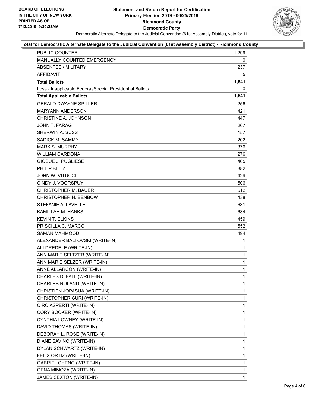

#### **Total for Democratic Alternate Delegate to the Judicial Convention (61st Assembly District) - Richmond County**

| PUBLIC COUNTER                                           | 1,299        |
|----------------------------------------------------------|--------------|
| MANUALLY COUNTED EMERGENCY                               | 0            |
| ABSENTEE / MILITARY                                      | 237          |
| AFFIDAVIT                                                | 5            |
| <b>Total Ballots</b>                                     | 1,541        |
| Less - Inapplicable Federal/Special Presidential Ballots | 0            |
| <b>Total Applicable Ballots</b>                          | 1,541        |
| <b>GERALD DWAYNE SPILLER</b>                             | 256          |
| <b>MARYANN ANDERSON</b>                                  | 421          |
| CHRISTINE A. JOHNSON                                     | 447          |
| JOHN T. FARAG                                            | 207          |
| <b>SHERWIN A. SUSS</b>                                   | 157          |
| SADICK M. SAMMY                                          | 202          |
| <b>MARK S. MURPHY</b>                                    | 376          |
| <b>WILLIAM CARDONA</b>                                   | 276          |
| <b>GIOSUE J. PUGLIESE</b>                                | 405          |
| PHILIP BLITZ                                             | 382          |
| <b>JOHN W. VITUCCI</b>                                   | 429          |
| <b>CINDY J. VOORSPUY</b>                                 | 506          |
| <b>CHRISTOPHER M. BAUER</b>                              | 512          |
| CHRISTOPHER H. BENBOW                                    | 438          |
| STEFANIE A. LAVELLE                                      | 631          |
| KAMILLAH M. HANKS                                        | 634          |
| <b>KEVIN T. ELKINS</b>                                   | 459          |
| PRISCILLA C. MARCO                                       | 552          |
| <b>SAMAN MAHMOOD</b>                                     | 494          |
| ALEXANDER BALTOVSKI (WRITE-IN)                           | 1            |
| ALI DREDELE (WRITE-IN)                                   | $\mathbf{1}$ |
| ANN MARIE SELTZER (WRITE-IN)                             | $\mathbf{1}$ |
| ANN MARIE SELZER (WRITE-IN)                              | $\mathbf{1}$ |
| ANNE ALLARCON (WRITE-IN)                                 | $\mathbf{1}$ |
| CHARLES D. FALL (WRITE-IN)                               | 1            |
| CHARLES ROLAND (WRITE-IN)                                | 1            |
| CHRISTIEN JOPASUA (WRITE-IN)                             | 1            |
| CHRISTOPHER CURI (WRITE-IN)                              | 1            |
| CIRO ASPERTI (WRITE-IN)                                  | 1            |
| CORY BOOKER (WRITE-IN)                                   | 1            |
| CYNTHIA LOWNEY (WRITE-IN)                                | 1            |
| DAVID THOMAS (WRITE-IN)                                  | 1            |
| DEBORAH L. ROSE (WRITE-IN)                               | 1            |
| DIANE SAVINO (WRITE-IN)                                  | 1            |
| DYLAN SCHWARTZ (WRITE-IN)                                | 1            |
| FELIX ORTIZ (WRITE-IN)                                   | 1            |
| <b>GABRIEL CHENG (WRITE-IN)</b>                          | 1            |
| GENA MIMOZA (WRITE-IN)                                   | 1            |
| JAMES SEXTON (WRITE-IN)                                  | 1            |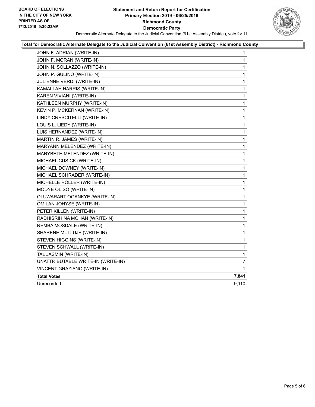#### **Statement and Return Report for Certification Primary Election 2019 - 06/25/2019 Richmond County Democratic Party** Democratic Alternate Delegate to the Judicial Convention (61st Assembly District), vote for 11



#### **Total for Democratic Alternate Delegate to the Judicial Convention (61st Assembly District) - Richmond County**

| JOHN F. ADRIAN (WRITE-IN)          | $\mathbf 1$  |
|------------------------------------|--------------|
| JOHN F. MORAN (WRITE-IN)           | $\mathbf{1}$ |
| JOHN N. SOLLAZZO (WRITE-IN)        | $\mathbf{1}$ |
| JOHN P. GULINO (WRITE-IN)          | $\mathbf{1}$ |
| JULIENNE VERDI (WRITE-IN)          | $\mathbf{1}$ |
| KAMALLAH HARRIS (WRITE-IN)         | $\mathbf{1}$ |
| KAREN VIVIANI (WRITE-IN)           | 1            |
| KATHLEEN MURPHY (WRITE-IN)         | $\mathbf{1}$ |
| KEVIN P. MCKERNAN (WRITE-IN)       | $\mathbf{1}$ |
| LINDY CRESCITELLI (WRITE-IN)       | 1            |
| LOUIS L. LIEDY (WRITE-IN)          | $\mathbf{1}$ |
| LUIS HERNANDEZ (WRITE-IN)          | $\mathbf{1}$ |
| MARTIN R. JAMES (WRITE-IN)         | $\mathbf{1}$ |
| MARYANN MELENDEZ (WRITE-IN)        | 1            |
| MARYBETH MELENDEZ (WRITE-IN)       | $\mathbf{1}$ |
| MICHAEL CUSICK (WRITE-IN)          | $\mathbf{1}$ |
| MICHAEL DOWNEY (WRITE-IN)          | 1            |
| MICHAEL SCHRADER (WRITE-IN)        | 1            |
| MICHELLE ROLLER (WRITE-IN)         | $\mathbf{1}$ |
| MODYE OLISO (WRITE-IN)             | $\mathbf{1}$ |
| OLUWARART OGANKYE (WRITE-IN)       | $\mathbf{1}$ |
| OMILAN JOHYSE (WRITE-IN)           | 1            |
| PETER KILLEN (WRITE-IN)            | $\mathbf{1}$ |
| RADHISRIHINA MOHAN (WRITE-IN)      | 1            |
| REMBA MOSDALE (WRITE-IN)           | $\mathbf{1}$ |
| SHARENE MULLUJE (WRITE-IN)         | 1            |
| STEVEN HIGGINS (WRITE-IN)          | $\mathbf{1}$ |
| STEVEN SCHWALL (WRITE-IN)          | 1            |
| TAL JASMIN (WRITE-IN)              | $\mathbf{1}$ |
| UNATTRIBUTABLE WRITE-IN (WRITE-IN) | 7            |
| VINCENT GRAZIANO (WRITE-IN)        | $\mathbf 1$  |
| <b>Total Votes</b>                 | 7,841        |
| Unrecorded                         | 9,110        |